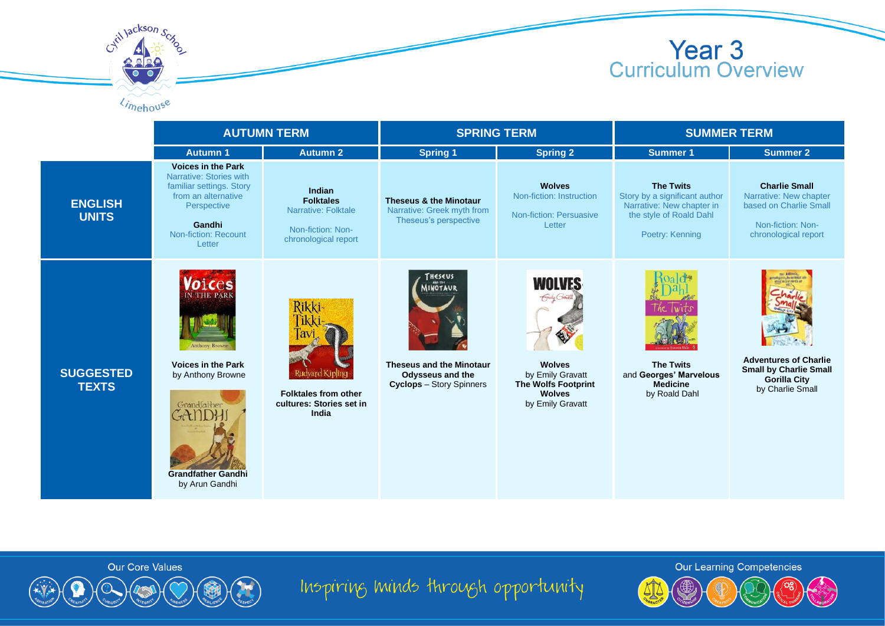



|                                  | <b>AUTUMN TERM</b>                                                                                                                                                        |                                                                                                | <b>SPRING TERM</b>                                                                                           |                                                                                                                                      | <b>SUMMER TERM</b>                                                                                                           |                                                                                                                       |
|----------------------------------|---------------------------------------------------------------------------------------------------------------------------------------------------------------------------|------------------------------------------------------------------------------------------------|--------------------------------------------------------------------------------------------------------------|--------------------------------------------------------------------------------------------------------------------------------------|------------------------------------------------------------------------------------------------------------------------------|-----------------------------------------------------------------------------------------------------------------------|
|                                  | <b>Autumn 1</b>                                                                                                                                                           | <b>Autumn 2</b>                                                                                | <b>Spring 1</b>                                                                                              | <b>Spring 2</b>                                                                                                                      | <b>Summer 1</b>                                                                                                              | <b>Summer 2</b>                                                                                                       |
| <b>ENGLISH</b><br><b>UNITS</b>   | <b>Voices in the Park</b><br>Narrative: Stories with<br>familiar settings. Story<br>from an alternative<br>Perspective<br>Gandhi<br><b>Non-fiction: Recount</b><br>Letter | Indian<br><b>Folktales</b><br>Narrative: Folktale<br>Non-fiction: Non-<br>chronological report | Theseus & the Minotaur<br>Narrative: Greek myth from<br>Theseus's perspective                                | <b>Wolves</b><br>Non-fiction: Instruction<br><b>Non-fiction: Persuasive</b><br>Letter                                                | <b>The Twits</b><br>Story by a significant author<br>Narrative: New chapter in<br>the style of Roald Dahl<br>Poetry: Kenning | <b>Charlie Small</b><br>Narrative: New chapter<br>based on Charlie Small<br>Non-fiction: Non-<br>chronological report |
| <b>SUGGESTED</b><br><b>TEXTS</b> | OlCES<br><b>THE PARI</b><br><b>Anthony Browne</b><br><b>Voices in the Park</b><br>by Anthony Browne<br>Grandfalher<br><b>Grandfather Gandhi</b><br>by Arun Gandhi         | Rikki<br><b>Folktales from other</b><br>cultures: Stories set in<br>India                      | THESEUS<br>INOTAUR<br>Theseus and the Minotaur<br><b>Odysseus and the</b><br><b>Cyclops</b> - Story Spinners | <b>WOLVES</b><br>Group Grave<br><b>Wolves</b><br>by Emily Gravatt<br><b>The Wolfs Footprint</b><br><b>Wolves</b><br>by Emily Gravatt | <b>The Twits</b><br>and Georges' Marvelous<br><b>Medicine</b><br>by Roald Dahl                                               | <b>Adventures of Charlie</b><br><b>Small by Charlie Small</b><br><b>Gorilla City</b><br>by Charlie Small              |



Inspiring minds through opportunity

**Our Learning Competencies**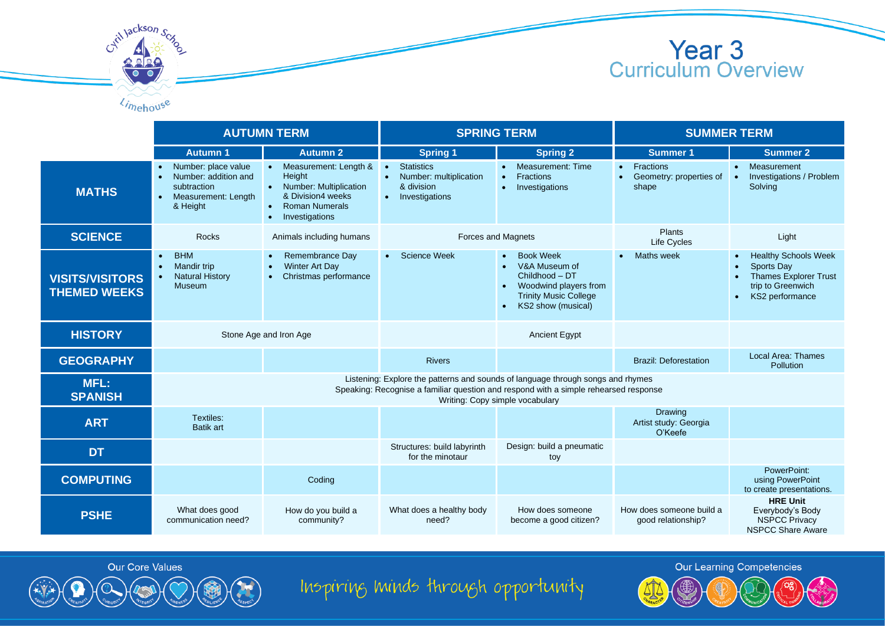

|                                               | <b>AUTUMN TERM</b>                                                                                                                                                                                         |                                                                                                                                                                  | <b>SPRING TERM</b>                                                                         |                                                                                                                                                              | <b>SUMMER TERM</b>                                   |                                                                                                                                |
|-----------------------------------------------|------------------------------------------------------------------------------------------------------------------------------------------------------------------------------------------------------------|------------------------------------------------------------------------------------------------------------------------------------------------------------------|--------------------------------------------------------------------------------------------|--------------------------------------------------------------------------------------------------------------------------------------------------------------|------------------------------------------------------|--------------------------------------------------------------------------------------------------------------------------------|
|                                               | <b>Autumn 1</b>                                                                                                                                                                                            | <b>Autumn 2</b>                                                                                                                                                  | <b>Spring 1</b>                                                                            | <b>Spring 2</b>                                                                                                                                              | <b>Summer 1</b>                                      | <b>Summer 2</b>                                                                                                                |
| <b>MATHS</b>                                  | Number: place value<br>Number: addition and<br>$\bullet$<br>subtraction<br>Measurement: Length<br>$\bullet$<br>& Height                                                                                    | Measurement: Length &<br>Height<br>Number: Multiplication<br>$\bullet$<br>& Division4 weeks<br><b>Roman Numerals</b><br>$\bullet$<br>Investigations<br>$\bullet$ | <b>Statistics</b><br>$\bullet$<br>Number: multiplication<br>& division<br>• Investigations | Measurement: Time<br><b>Fractions</b><br>$\bullet$<br>Investigations<br>$\bullet$                                                                            | <b>Fractions</b><br>Geometry: properties of<br>shape | Measurement<br>Investigations / Problem<br>Solving                                                                             |
| <b>SCIENCE</b>                                | <b>Rocks</b>                                                                                                                                                                                               | Animals including humans                                                                                                                                         | Forces and Magnets                                                                         |                                                                                                                                                              | Plants<br><b>Life Cycles</b>                         | Light                                                                                                                          |
| <b>VISITS/VISITORS</b><br><b>THEMED WEEKS</b> | <b>BHM</b><br>$\bullet$<br><b>Mandir trip</b><br>$\bullet$<br><b>Natural History</b><br><b>Museum</b>                                                                                                      | Remembrance Day<br>$\bullet$<br><b>Winter Art Day</b><br>$\bullet$<br>Christmas performance                                                                      | Science Week<br>$\bullet$                                                                  | <b>Book Week</b><br>$\bullet$<br>V&A Museum of<br>Childhood - DT<br>Woodwind players from<br><b>Trinity Music College</b><br>KS2 show (musical)<br>$\bullet$ | <b>Maths week</b><br>$\bullet$                       | <b>Healthy Schools Week</b><br>Sports Day<br><b>Thames Explorer Trust</b><br>trip to Greenwich<br>KS2 performance<br>$\bullet$ |
| <b>HISTORY</b>                                | Stone Age and Iron Age                                                                                                                                                                                     |                                                                                                                                                                  |                                                                                            | <b>Ancient Egypt</b>                                                                                                                                         |                                                      |                                                                                                                                |
| <b>GEOGRAPHY</b>                              |                                                                                                                                                                                                            |                                                                                                                                                                  | <b>Rivers</b>                                                                              |                                                                                                                                                              | <b>Brazil: Deforestation</b>                         | Local Area: Thames<br>Pollution                                                                                                |
| <b>MFL:</b><br><b>SPANISH</b>                 | Listening: Explore the patterns and sounds of language through songs and rhymes<br>Speaking: Recognise a familiar question and respond with a simple rehearsed response<br>Writing: Copy simple vocabulary |                                                                                                                                                                  |                                                                                            |                                                                                                                                                              |                                                      |                                                                                                                                |
| <b>ART</b>                                    | Textiles:<br><b>Batik art</b>                                                                                                                                                                              |                                                                                                                                                                  |                                                                                            |                                                                                                                                                              | <b>Drawing</b><br>Artist study: Georgia<br>O'Keefe   |                                                                                                                                |
| <b>DT</b>                                     |                                                                                                                                                                                                            |                                                                                                                                                                  | Structures: build labyrinth<br>for the minotaur                                            | Design: build a pneumatic<br>toy                                                                                                                             |                                                      |                                                                                                                                |
| <b>COMPUTING</b>                              |                                                                                                                                                                                                            | Coding                                                                                                                                                           |                                                                                            |                                                                                                                                                              |                                                      | PowerPoint:<br>using PowerPoint<br>to create presentations.                                                                    |
| <b>PSHE</b>                                   | What does good<br>communication need?                                                                                                                                                                      | How do you build a<br>community?                                                                                                                                 | What does a healthy body<br>need?                                                          | How does someone<br>become a good citizen?                                                                                                                   | How does someone build a<br>good relationship?       | <b>HRE Unit</b><br>Everybody's Body<br><b>NSPCC Privacv</b><br><b>NSPCC Share Aware</b>                                        |



Cyril Jackson Sex

 $\ell_{\text{in}}$ 



Inspiring minds through opportunity

**Our Learning Competencies**